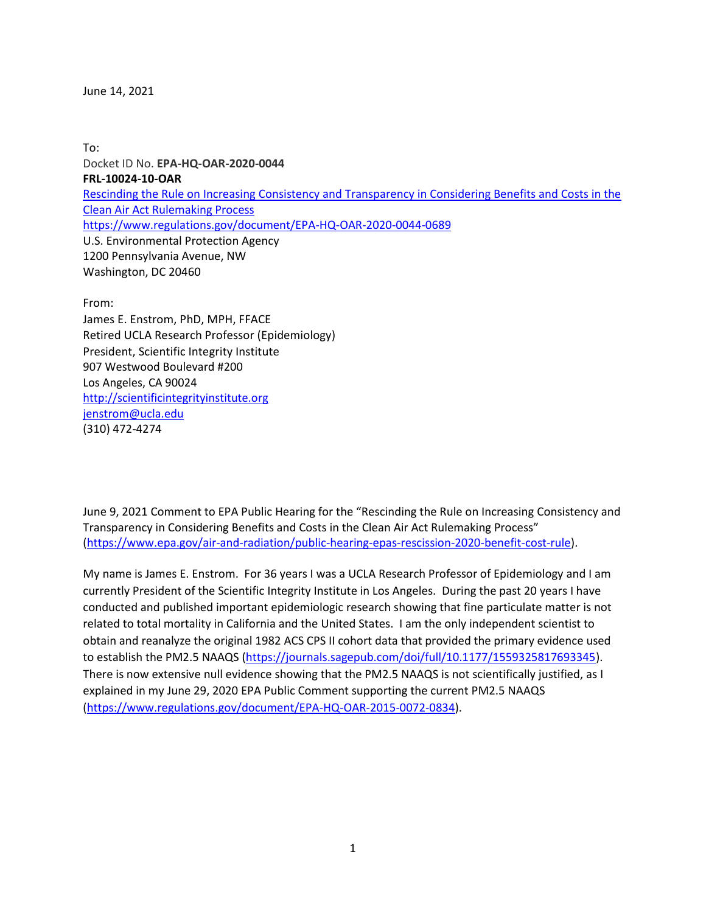June 14, 2021

To: Docket ID No. **EPA-HQ-OAR-2020-0044 FRL-10024-10-OAR** [Rescinding the Rule on Increasing Consistency and Transparency in Considering Benefits and Costs in the](https://www.govinfo.gov/app/details/FR-2021-05-14/2021-10216)  [Clean Air Act Rulemaking Process](https://www.govinfo.gov/app/details/FR-2021-05-14/2021-10216) <https://www.regulations.gov/document/EPA-HQ-OAR-2020-0044-0689> U.S. Environmental Protection Agency 1200 Pennsylvania Avenue, NW Washington, DC 20460

From:

James E. Enstrom, PhD, MPH, FFACE Retired UCLA Research Professor (Epidemiology) President, Scientific Integrity Institute 907 Westwood Boulevard #200 Los Angeles, CA 90024 [http://scientificintegrityinstitute.org](http://scientificintegrityinstitute.org/) [jenstrom@ucla.edu](mailto:jenstrom@ucla.edu) (310) 472-4274

June 9, 2021 Comment to EPA Public Hearing for the "Rescinding the Rule on Increasing Consistency and Transparency in Considering Benefits and Costs in the Clean Air Act Rulemaking Process" [\(https://www.epa.gov/air-and-radiation/public-hearing-epas-rescission-2020-benefit-cost-rule\)](https://www.epa.gov/air-and-radiation/public-hearing-epas-rescission-2020-benefit-cost-rule).

My name is James E. Enstrom. For 36 years I was a UCLA Research Professor of Epidemiology and I am currently President of the Scientific Integrity Institute in Los Angeles. During the past 20 years I have conducted and published important epidemiologic research showing that fine particulate matter is not related to total mortality in California and the United States. I am the only independent scientist to obtain and reanalyze the original 1982 ACS CPS II cohort data that provided the primary evidence used to establish the PM2.5 NAAQS [\(https://journals.sagepub.com/doi/full/10.1177/1559325817693345\)](https://journals.sagepub.com/doi/full/10.1177/1559325817693345). There is now extensive null evidence showing that the PM2.5 NAAQS is not scientifically justified, as I explained in my June 29, 2020 EPA Public Comment supporting the current PM2.5 NAAQS [\(https://www.regulations.gov/document/EPA-HQ-OAR-2015-0072-0834\)](https://www.regulations.gov/document/EPA-HQ-OAR-2015-0072-0834).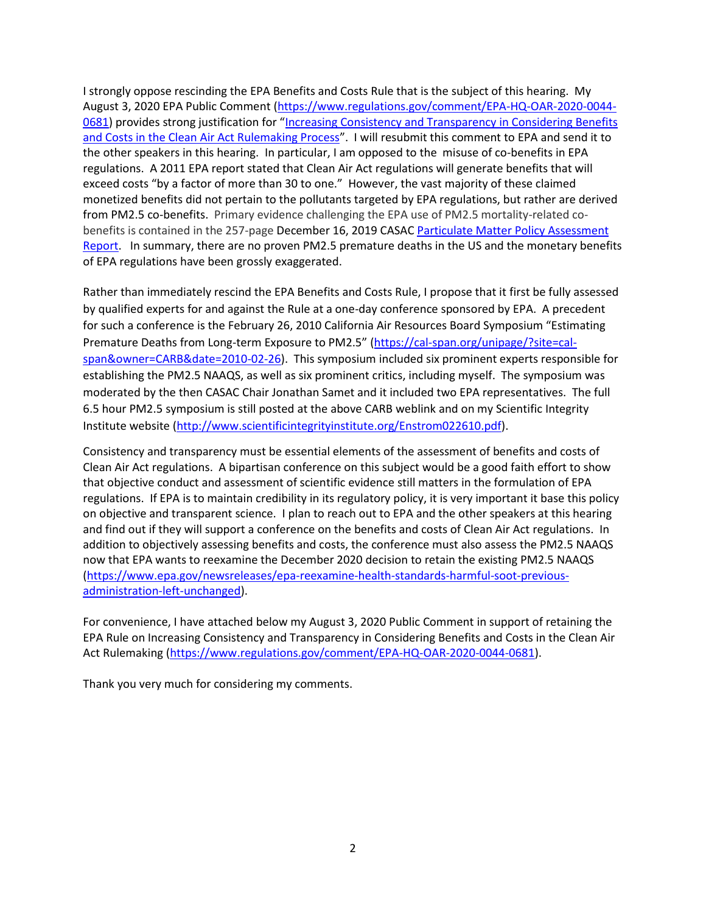I strongly oppose rescinding the EPA Benefits and Costs Rule that is the subject of this hearing. My August 3, 2020 EPA Public Comment [\(https://www.regulations.gov/comment/EPA-HQ-OAR-2020-0044-](https://www.regulations.gov/comment/EPA-HQ-OAR-2020-0044-0681) [0681\)](https://www.regulations.gov/comment/EPA-HQ-OAR-2020-0044-0681) provides strong justification for "[Increasing Consistency and Transparency in Considering Benefits](https://www.epa.gov/air-and-radiation/proposed-rule-increasing-consistency-considering-benefits-and-costs-clean-air-act)  [and Costs in the Clean Air Act Rulemaking Process](https://www.epa.gov/air-and-radiation/proposed-rule-increasing-consistency-considering-benefits-and-costs-clean-air-act)". I will resubmit this comment to EPA and send it to the other speakers in this hearing. In particular, I am opposed to the misuse of co-benefits in EPA regulations. A 2011 EPA report stated that Clean Air Act regulations will generate benefits that will exceed costs "by a factor of more than 30 to one." However, the vast majority of these claimed monetized benefits did not pertain to the pollutants targeted by EPA regulations, but rather are derived from PM2.5 co-benefits. Primary evidence challenging the EPA use of PM2.5 mortality-related cobenefits is contained in the 257-page December 16, 2019 CASAC [Particulate Matter](https://yosemite.epa.gov/sab%5Csabproduct.nsf/E2F6C71737201612852584D20069DFB1/$File/EPA-CASAC-20-001.pdf) Policy Assessment [Report.](https://yosemite.epa.gov/sab%5Csabproduct.nsf/E2F6C71737201612852584D20069DFB1/$File/EPA-CASAC-20-001.pdf) In summary, there are no proven PM2.5 premature deaths in the US and the monetary benefits of EPA regulations have been grossly exaggerated.

Rather than immediately rescind the EPA Benefits and Costs Rule, I propose that it first be fully assessed by qualified experts for and against the Rule at a one-day conference sponsored by EPA. A precedent for such a conference is the February 26, 2010 California Air Resources Board Symposium "Estimating Premature Deaths from Long-term Exposure to PM2.5" [\(https://cal-span.org/unipage/?site=cal](https://cal-span.org/unipage/?site=cal-span&owner=CARB&date=2010-02-26)[span&owner=CARB&date=2010-02-26\)](https://cal-span.org/unipage/?site=cal-span&owner=CARB&date=2010-02-26). This symposium included six prominent experts responsible for establishing the PM2.5 NAAQS, as well as six prominent critics, including myself. The symposium was moderated by the then CASAC Chair Jonathan Samet and it included two EPA representatives. The full 6.5 hour PM2.5 symposium is still posted at the above CARB weblink and on my Scientific Integrity Institute website [\(http://www.scientificintegrityinstitute.org/Enstrom022610.pdf\)](http://www.scientificintegrityinstitute.org/Enstrom022610.pdf).

Consistency and transparency must be essential elements of the assessment of benefits and costs of Clean Air Act regulations. A bipartisan conference on this subject would be a good faith effort to show that objective conduct and assessment of scientific evidence still matters in the formulation of EPA regulations. If EPA is to maintain credibility in its regulatory policy, it is very important it base this policy on objective and transparent science. I plan to reach out to EPA and the other speakers at this hearing and find out if they will support a conference on the benefits and costs of Clean Air Act regulations. In addition to objectively assessing benefits and costs, the conference must also assess the PM2.5 NAAQS now that EPA wants to reexamine the December 2020 decision to retain the existing PM2.5 NAAQS [\(https://www.epa.gov/newsreleases/epa-reexamine-health-standards-harmful-soot-previous](https://www.epa.gov/newsreleases/epa-reexamine-health-standards-harmful-soot-previous-administration-left-unchanged)[administration-left-unchanged\)](https://www.epa.gov/newsreleases/epa-reexamine-health-standards-harmful-soot-previous-administration-left-unchanged).

For convenience, I have attached below my August 3, 2020 Public Comment in support of retaining the EPA Rule on Increasing Consistency and Transparency in Considering Benefits and Costs in the Clean Air Act Rulemaking [\(https://www.regulations.gov/comment/EPA-HQ-OAR-2020-0044-0681\)](https://www.regulations.gov/comment/EPA-HQ-OAR-2020-0044-0681).

Thank you very much for considering my comments.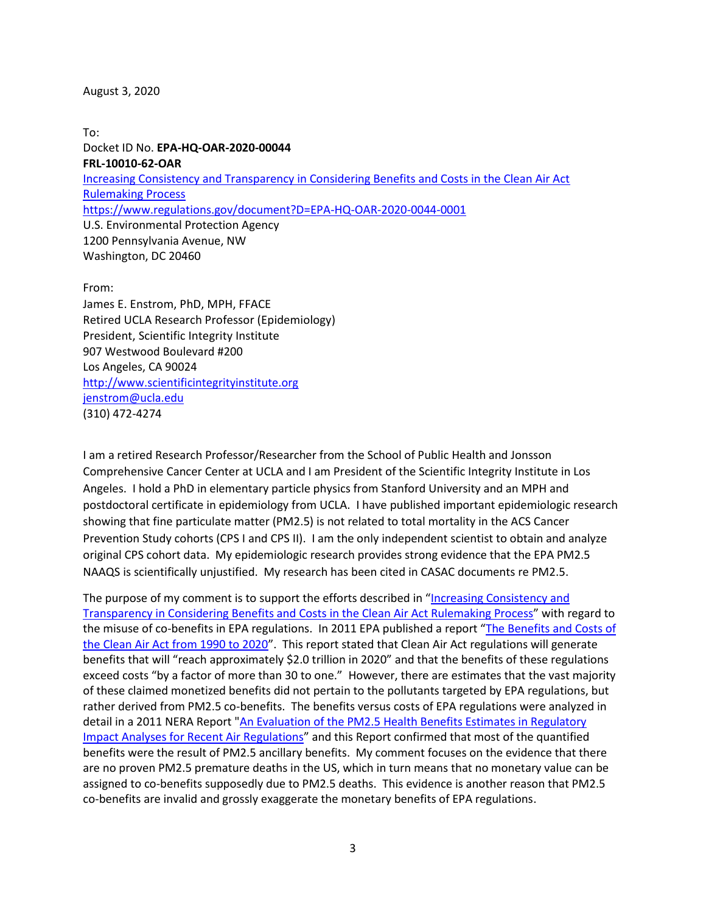#### August 3, 2020

To: Docket ID No. **EPA-HQ-OAR-2020-00044 FRL-10010-62-OAR** [Increasing Consistency and Transparency in Considering Benefits and Costs in the Clean Air Act](https://www.epa.gov/air-and-radiation/proposed-rule-increasing-consistency-considering-benefits-and-costs-clean-air-act)  [Rulemaking Process](https://www.epa.gov/air-and-radiation/proposed-rule-increasing-consistency-considering-benefits-and-costs-clean-air-act) <https://www.regulations.gov/document?D=EPA-HQ-OAR-2020-0044-0001> U.S. Environmental Protection Agency 1200 Pennsylvania Avenue, NW Washington, DC 20460

From:

James E. Enstrom, PhD, MPH, FFACE Retired UCLA Research Professor (Epidemiology) President, Scientific Integrity Institute 907 Westwood Boulevard #200 Los Angeles, CA 90024 [http://www.scientificintegrityinstitute.org](http://www.scientificintegrityinstitute.org/) [jenstrom@ucla.edu](mailto:jenstrom@ucla.edu) (310) 472-4274

I am a retired Research Professor/Researcher from the School of Public Health and Jonsson Comprehensive Cancer Center at UCLA and I am President of the Scientific Integrity Institute in Los Angeles. I hold a PhD in elementary particle physics from Stanford University and an MPH and postdoctoral certificate in epidemiology from UCLA. I have published important epidemiologic research showing that fine particulate matter (PM2.5) is not related to total mortality in the ACS Cancer Prevention Study cohorts (CPS I and CPS II). I am the only independent scientist to obtain and analyze original CPS cohort data. My epidemiologic research provides strong evidence that the EPA PM2.5 NAAQS is scientifically unjustified. My research has been cited in CASAC documents re PM2.5.

The purpose of my comment is to support the efforts described in "[Increasing Consistency and](https://www.epa.gov/air-and-radiation/proposed-rule-increasing-consistency-considering-benefits-and-costs-clean-air-act)  [Transparency in Considering Benefits and Costs in the Clean Air Act Rulemaking Process](https://www.epa.gov/air-and-radiation/proposed-rule-increasing-consistency-considering-benefits-and-costs-clean-air-act)" with regard to the misuse of co-benefits in EPA regulations. In 2011 EPA published a report "[The Benefits and Costs of](https://www.epa.gov/sites/production/files/2015-07/documents/fullreport_rev_a.pdf)  [the Clean Air Act from 1990 to 2020](https://www.epa.gov/sites/production/files/2015-07/documents/fullreport_rev_a.pdf)". This report stated that Clean Air Act regulations will generate benefits that will "reach approximately \$2.0 trillion in 2020" and that the benefits of these regulations exceed costs "by a factor of more than 30 to one." However, there are estimates that the vast majority of these claimed monetized benefits did not pertain to the pollutants targeted by EPA regulations, but rather derived from PM2.5 co-benefits. The benefits versus costs of EPA regulations were analyzed in detail in a 2011 NERA Report ["An Evaluation of the PM2.5 Health Benefits Estimates in Regulatory](https://www.nera.com/content/dam/nera/publications/archive2/PUB_RIA_Critique_Final_Report_1211.pdf)  [Impact Analyses for Recent Air Regulations](https://www.nera.com/content/dam/nera/publications/archive2/PUB_RIA_Critique_Final_Report_1211.pdf)" and this Report confirmed that most of the quantified benefits were the result of PM2.5 ancillary benefits. My comment focuses on the evidence that there are no proven PM2.5 premature deaths in the US, which in turn means that no monetary value can be assigned to co-benefits supposedly due to PM2.5 deaths. This evidence is another reason that PM2.5 co-benefits are invalid and grossly exaggerate the monetary benefits of EPA regulations.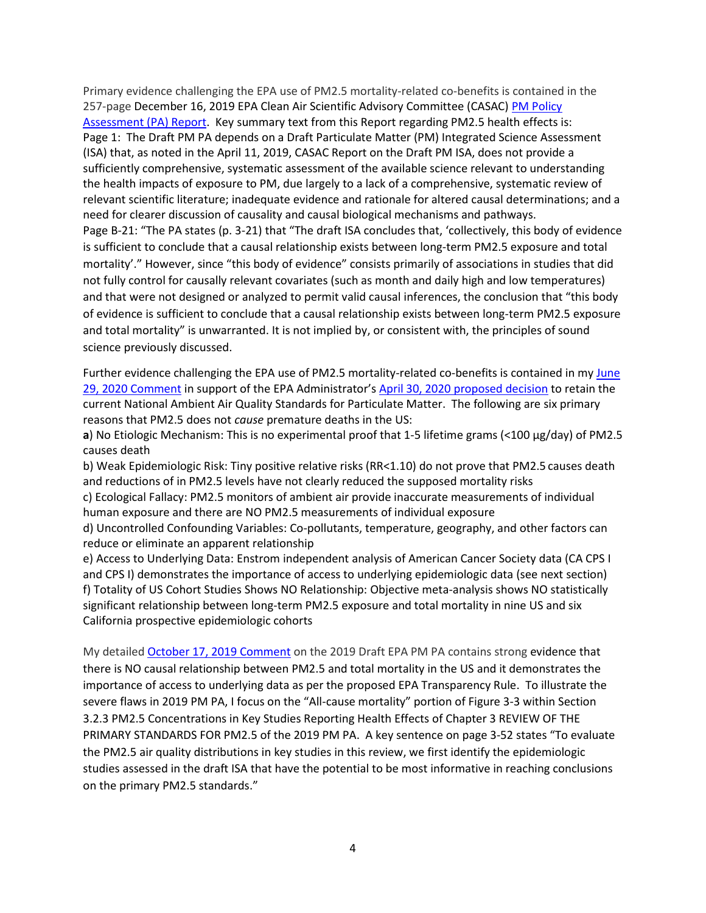Primary evidence challenging the EPA use of PM2.5 mortality-related co-benefits is contained in the 257-page December 16, 2019 EPA Clean Air Scientific Advisory Committee (CASAC) PM Policy [Assessment \(PA\) Report.](https://yosemite.epa.gov/sab%5Csabproduct.nsf/E2F6C71737201612852584D20069DFB1/$File/EPA-CASAC-20-001.pdf) Key summary text from this Report regarding PM2.5 health effects is: Page 1: The Draft PM PA depends on a Draft Particulate Matter (PM) Integrated Science Assessment (ISA) that, as noted in the April 11, 2019, CASAC Report on the Draft PM ISA, does not provide a sufficiently comprehensive, systematic assessment of the available science relevant to understanding the health impacts of exposure to PM, due largely to a lack of a comprehensive, systematic review of relevant scientific literature; inadequate evidence and rationale for altered causal determinations; and a need for clearer discussion of causality and causal biological mechanisms and pathways. Page B-21: "The PA states (p. 3-21) that "The draft ISA concludes that, 'collectively, this body of evidence is sufficient to conclude that a causal relationship exists between long-term PM2.5 exposure and total mortality'." However, since "this body of evidence" consists primarily of associations in studies that did not fully control for causally relevant covariates (such as month and daily high and low temperatures) and that were not designed or analyzed to permit valid causal inferences, the conclusion that "this body of evidence is sufficient to conclude that a causal relationship exists between long-term PM2.5 exposure and total mortality" is unwarranted. It is not implied by, or consistent with, the principles of sound science previously discussed.

Further evidence challenging the EPA use of PM2.5 mortality-related co-benefits is contained in my [June](https://www.regulations.gov/document?D=EPA-HQ-OAR-2015-0072-0834)  [29, 2020 Comment](https://www.regulations.gov/document?D=EPA-HQ-OAR-2015-0072-0834) in support of the EPA Administrator's [April 30, 2020 proposed decision](https://www.federalregister.gov/documents/2020/04/30/2020-08143/review-of-the-national-ambient-air-quality-standards-for-particulate-matter) to retain the current National Ambient Air Quality Standards for Particulate Matter. The following are six primary reasons that PM2.5 does not *cause* premature deaths in the US:

**a**) No Etiologic Mechanism: This is no experimental proof that 1-5 lifetime grams (<100 µg/day) of PM2.5 causes death

b) Weak Epidemiologic Risk: Tiny positive relative risks (RR<1.10) do not prove that PM2.5 causes death and reductions of in PM2.5 levels have not clearly reduced the supposed mortality risks

c) Ecological Fallacy: PM2.5 monitors of ambient air provide inaccurate measurements of individual human exposure and there are NO PM2.5 measurements of individual exposure

d) Uncontrolled Confounding Variables: Co-pollutants, temperature, geography, and other factors can reduce or eliminate an apparent relationship

e) Access to Underlying Data: Enstrom independent analysis of American Cancer Society data (CA CPS I and CPS I) demonstrates the importance of access to underlying epidemiologic data (see next section) f) Totality of US Cohort Studies Shows NO Relationship: Objective meta-analysis shows NO statistically significant relationship between long-term PM2.5 exposure and total mortality in nine US and six California prospective epidemiologic cohorts

My detailed [October 17, 2019 Comment](https://yosemite.epa.gov/sab/sabproduct.nsf/F729E7D8E248A2C5852584970009565A/$File/Enstrom+Comment+to+CASAC+re+090519+EPA+PM+PA+101719.pdf) on the 2019 Draft EPA PM PA contains strong evidence that there is NO causal relationship between PM2.5 and total mortality in the US and it demonstrates the importance of access to underlying data as per the proposed EPA Transparency Rule. To illustrate the severe flaws in 2019 PM PA, I focus on the "All-cause mortality" portion of Figure 3-3 within Section 3.2.3 PM2.5 Concentrations in Key Studies Reporting Health Effects of Chapter 3 REVIEW OF THE PRIMARY STANDARDS FOR PM2.5 of the 2019 PM PA. A key sentence on page 3-52 states "To evaluate the PM2.5 air quality distributions in key studies in this review, we first identify the epidemiologic studies assessed in the draft ISA that have the potential to be most informative in reaching conclusions on the primary PM2.5 standards."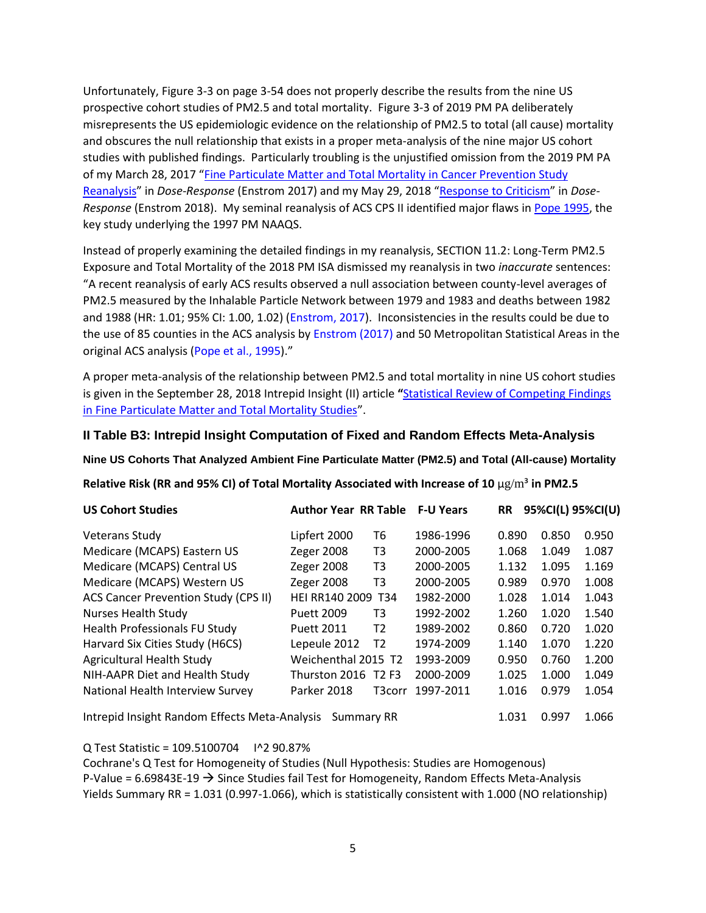Unfortunately, Figure 3-3 on page 3-54 does not properly describe the results from the nine US prospective cohort studies of PM2.5 and total mortality. Figure 3-3 of 2019 PM PA deliberately misrepresents the US epidemiologic evidence on the relationship of PM2.5 to total (all cause) mortality and obscures the null relationship that exists in a proper meta-analysis of the nine major US cohort studies with published findings. Particularly troubling is the unjustified omission from the 2019 PM PA of my March 28, 2017 "[Fine Particulate Matter and Total Mortality in Cancer Prevention Study](doi:%2010.1177/1559325817693345)  [Reanalysis](doi:%2010.1177/1559325817693345)" in *Dose-Response* (Enstrom 2017) and my May 29, 2018 "[Response to Criticism](doi:%2010.1177/1559325818769728)" in *Dose-Response* (Enstrom 2018). My seminal reanalysis of ACS CPS II identified major flaws in [Pope 1995,](https://doi.org/10.1164/ajrccm/151.3_Pt_1.669) the key study underlying the 1997 PM NAAQS.

Instead of properly examining the detailed findings in my reanalysis, SECTION 11.2: Long-Term PM2.5 Exposure and Total Mortality of the 2018 PM ISA dismissed my reanalysis in two *inaccurate* sentences: "A recent reanalysis of early ACS results observed a null association between county-level averages of PM2.5 measured by the Inhalable Particle Network between 1979 and 1983 and deaths between 1982 and 1988 (HR: 1.01; 95% CI: 1.00, 1.02) (Enstrom, 2017). Inconsistencies in the results could be due to the use of 85 counties in the ACS analysis by Enstrom (2017) and 50 Metropolitan Statistical Areas in the original ACS analysis (Pope et al., 1995)."

A proper meta-analysis of the relationship between PM2.5 and total mortality in nine US cohort studies is given in the September 28, 2018 Intrepid Insight (II) article **"**[Statistical Review of Competing Findings](https://intrepidinsight.com/pm25-statreview/)  [in Fine Particulate Matter and Total Mortality Studies](https://intrepidinsight.com/pm25-statreview/)".

### **II Table B3: Intrepid Insight Computation of Fixed and Random Effects Meta-Analysis**

**Nine US Cohorts That Analyzed Ambient Fine Particulate Matter (PM2.5) and Total (All-cause) Mortality**

**Relative Risk (RR and 95% CI) of Total Mortality Associated with Increase of 10** μg/m³ **in PM2.5**

| <b>US Cohort Studies</b>                      | <b>Author Year RR Table</b> |                | <b>F-U Years</b> | <b>RR</b> | 95%CI(L) 95%CI(U) |       |
|-----------------------------------------------|-----------------------------|----------------|------------------|-----------|-------------------|-------|
| <b>Veterans Study</b>                         | Lipfert 2000                | Т6             | 1986-1996        | 0.890     | 0.850             | 0.950 |
| Medicare (MCAPS) Eastern US                   | <b>Zeger 2008</b>           | T3             | 2000-2005        | 1.068     | 1.049             | 1.087 |
| Medicare (MCAPS) Central US                   | Zeger 2008                  | T3             | 2000-2005        | 1.132     | 1.095             | 1.169 |
| Medicare (MCAPS) Western US                   | Zeger 2008                  | T3             | 2000-2005        | 0.989     | 0.970             | 1.008 |
| <b>ACS Cancer Prevention Study (CPS II)</b>   | <b>HEI RR140 2009</b>       | T34            | 1982-2000        | 1.028     | 1.014             | 1.043 |
| <b>Nurses Health Study</b>                    | Puett 2009                  | T3             | 1992-2002        | 1.260     | 1.020             | 1.540 |
| <b>Health Professionals FU Study</b>          | <b>Puett 2011</b>           | T2             | 1989-2002        | 0.860     | 0.720             | 1.020 |
| Harvard Six Cities Study (H6CS)               | Lepeule 2012                | T <sub>2</sub> | 1974-2009        | 1.140     | 1.070             | 1.220 |
| Agricultural Health Study                     | Weichenthal 2015 T2         |                | 1993-2009        | 0.950     | 0.760             | 1.200 |
| NIH-AAPR Diet and Health Study                | Thurston 2016 T2 F3         |                | 2000-2009        | 1.025     | 1.000             | 1.049 |
| National Health Interview Survey              | Parker 2018                 | T3corr         | 1997-2011        | 1.016     | 0.979             | 1.054 |
| Intrepid Insight Random Effects Meta-Analysis | 1.031                       | 0.997          | 1.066            |           |                   |       |

Q Test Statistic = 109.5100704 I^2 90.87%

Cochrane's Q Test for Homogeneity of Studies (Null Hypothesis: Studies are Homogenous) P-Value =  $6.69843E-19 \rightarrow$  Since Studies fail Test for Homogeneity, Random Effects Meta-Analysis Yields Summary RR = 1.031 (0.997-1.066), which is statistically consistent with 1.000 (NO relationship)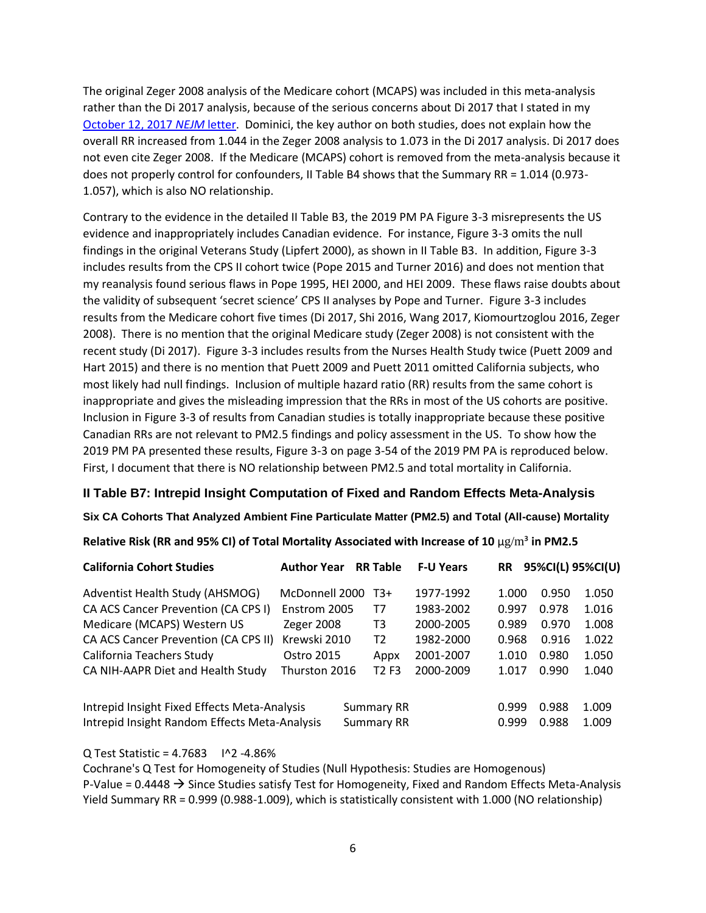The original Zeger 2008 analysis of the Medicare cohort (MCAPS) was included in this meta-analysis rather than the Di 2017 analysis, because of the serious concerns about Di 2017 that I stated in my [October 12, 2017](http://www.scientificintegrityinstitute.org/Enstrom071817.pdf) *NEJM* letter. Dominici, the key author on both studies, does not explain how the overall RR increased from 1.044 in the Zeger 2008 analysis to 1.073 in the Di 2017 analysis. Di 2017 does not even cite Zeger 2008. If the Medicare (MCAPS) cohort is removed from the meta-analysis because it does not properly control for confounders, II Table B4 shows that the Summary RR = 1.014 (0.973- 1.057), which is also NO relationship.

Contrary to the evidence in the detailed II Table B3, the 2019 PM PA Figure 3-3 misrepresents the US evidence and inappropriately includes Canadian evidence. For instance, Figure 3-3 omits the null findings in the original Veterans Study (Lipfert 2000), as shown in II Table B3. In addition, Figure 3-3 includes results from the CPS II cohort twice (Pope 2015 and Turner 2016) and does not mention that my reanalysis found serious flaws in Pope 1995, HEI 2000, and HEI 2009. These flaws raise doubts about the validity of subsequent 'secret science' CPS II analyses by Pope and Turner. Figure 3-3 includes results from the Medicare cohort five times (Di 2017, Shi 2016, Wang 2017, Kiomourtzoglou 2016, Zeger 2008). There is no mention that the original Medicare study (Zeger 2008) is not consistent with the recent study (Di 2017). Figure 3-3 includes results from the Nurses Health Study twice (Puett 2009 and Hart 2015) and there is no mention that Puett 2009 and Puett 2011 omitted California subjects, who most likely had null findings. Inclusion of multiple hazard ratio (RR) results from the same cohort is inappropriate and gives the misleading impression that the RRs in most of the US cohorts are positive. Inclusion in Figure 3-3 of results from Canadian studies is totally inappropriate because these positive Canadian RRs are not relevant to PM2.5 findings and policy assessment in the US. To show how the 2019 PM PA presented these results, Figure 3-3 on page 3-54 of the 2019 PM PA is reproduced below. First, I document that there is NO relationship between PM2.5 and total mortality in California.

## **II Table B7: Intrepid Insight Computation of Fixed and Random Effects Meta-Analysis**

### **Six CA Cohorts That Analyzed Ambient Fine Particulate Matter (PM2.5) and Total (All-cause) Mortality**

### **Relative Risk (RR and 95% CI) of Total Mortality Associated with Increase of 10** μg/m³ **in PM2.5**

| <b>California Cohort Studies</b>                                                              | <b>Author Year</b> |  | <b>RR Table</b>                        | <b>F-U Years</b> | <b>RR</b> |                         | 95%CI(L) 95%CI(U) |
|-----------------------------------------------------------------------------------------------|--------------------|--|----------------------------------------|------------------|-----------|-------------------------|-------------------|
| Adventist Health Study (AHSMOG)                                                               | McDonnell 2000     |  | T3+                                    | 1977-1992        | 1.000     | 0.950                   | 1.050             |
| CA ACS Cancer Prevention (CA CPS I)                                                           | Enstrom 2005       |  | T7                                     | 1983-2002        | 0.997     | 0.978                   | 1.016             |
| Medicare (MCAPS) Western US                                                                   | Zeger 2008         |  | T3                                     | 2000-2005        | 0.989     | 0.970                   | 1.008             |
| CA ACS Cancer Prevention (CA CPS II)                                                          | Krewski 2010       |  | T2                                     | 1982-2000        | 0.968     | 0.916                   | 1.022             |
| California Teachers Study                                                                     | Ostro 2015         |  | Appx                                   | 2001-2007        | 1.010     | 0.980                   | 1.050             |
| CA NIH-AAPR Diet and Health Study                                                             | Thurston 2016      |  | T <sub>2</sub> F <sub>3</sub>          | 2000-2009        | 1.017     | 0.990                   | 1.040             |
| Intrepid Insight Fixed Effects Meta-Analysis<br>Intrepid Insight Random Effects Meta-Analysis |                    |  | <b>Summary RR</b><br><b>Summary RR</b> |                  |           | 0.988<br>0.999<br>0.988 | 1.009<br>1.009    |
|                                                                                               |                    |  |                                        |                  | 0.999     |                         |                   |

#### Q Test Statistic = 4.7683 I^2 -4.86%

Cochrane's Q Test for Homogeneity of Studies (Null Hypothesis: Studies are Homogenous) P-Value =  $0.4448 \rightarrow$  Since Studies satisfy Test for Homogeneity, Fixed and Random Effects Meta-Analysis Yield Summary RR = 0.999 (0.988-1.009), which is statistically consistent with 1.000 (NO relationship)